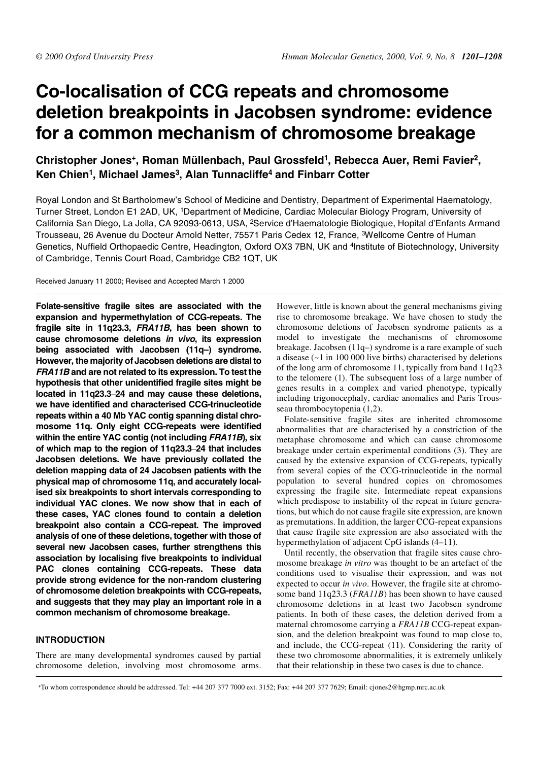# **Co-localisation of CCG repeats and chromosome deletion breakpoints in Jacobsen syndrome: evidence for a common mechanism of chromosome breakage**

# **Christopher Jones+, Roman Müllenbach, Paul Grossfeld1, Rebecca Auer, Remi Favier2, Ken Chien1, Michael James3, Alan Tunnacliffe4 and Finbarr Cotter**

Royal London and St Bartholomew's School of Medicine and Dentistry, Department of Experimental Haematology, Turner Street, London E1 2AD, UK, 1Department of Medicine, Cardiac Molecular Biology Program, University of California San Diego, La Jolla, CA 92093-0613, USA, <sup>2</sup>Service d'Haematologie Biologique, Hopital d'Enfants Armand Trousseau, 26 Avenue du Docteur Arnold Netter, 75571 Paris Cedex 12, France, 3Wellcome Centre of Human Genetics, Nuffield Orthopaedic Centre, Headington, Oxford OX3 7BN, UK and <sup>4</sup>Institute of Biotechnology, University of Cambridge, Tennis Court Road, Cambridge CB2 1QT, UK

Received January 11 2000; Revised and Accepted March 1 2000

**Folate-sensitive fragile sites are associated with the expansion and hypermethylation of CCG-repeats. The fragile site in 11q23.3, FRA11B, has been shown to cause chromosome deletions in vivo, its expression being associated with Jacobsen (11q–) syndrome. However, the majority of Jacobsen deletions are distal to FRA11B and are not related to its expression. To test the hypothesis that other unidentified fragile sites might be located in 11q23.3**–**24 and may cause these deletions, we have identified and characterised CCG-trinucleotide repeats within a 40 Mb YAC contig spanning distal chromosome 11q. Only eight CCG-repeats were identified within the entire YAC contig (not including FRA11B), six of which map to the region of 11q23.3**–**24 that includes Jacobsen deletions. We have previously collated the deletion mapping data of 24 Jacobsen patients with the physical map of chromosome 11q, and accurately localised six breakpoints to short intervals corresponding to individual YAC clones. We now show that in each of these cases, YAC clones found to contain a deletion breakpoint also contain a CCG-repeat. The improved analysis of one of these deletions, together with those of several new Jacobsen cases, further strengthens this association by localising five breakpoints to individual PAC clones containing CCG-repeats. These data provide strong evidence for the non-random clustering of chromosome deletion breakpoints with CCG-repeats, and suggests that they may play an important role in a common mechanism of chromosome breakage.**

# **INTRODUCTION**

There are many developmental syndromes caused by partial chromosome deletion, involving most chromosome arms. However, little is known about the general mechanisms giving rise to chromosome breakage. We have chosen to study the chromosome deletions of Jacobsen syndrome patients as a model to investigate the mechanisms of chromosome breakage. Jacobsen (11q–) syndrome is a rare example of such a disease (~1 in 100 000 live births) characterised by deletions of the long arm of chromosome 11, typically from band 11q23 to the telomere (1). The subsequent loss of a large number of genes results in a complex and varied phenotype, typically including trigonocephaly, cardiac anomalies and Paris Trousseau thrombocytopenia (1,2).

Folate-sensitive fragile sites are inherited chromosome abnormalities that are characterised by a constriction of the metaphase chromosome and which can cause chromosome breakage under certain experimental conditions (3). They are caused by the extensive expansion of CCG-repeats, typically from several copies of the CCG-trinucleotide in the normal population to several hundred copies on chromosomes expressing the fragile site. Intermediate repeat expansions which predispose to instability of the repeat in future generations, but which do not cause fragile site expression, are known as premutations. In addition, the larger CCG-repeat expansions that cause fragile site expression are also associated with the hypermethylation of adjacent CpG islands (4–11).

Until recently, the observation that fragile sites cause chromosome breakage *in vitro* was thought to be an artefact of the conditions used to visualise their expression, and was not expected to occur *in vivo*. However, the fragile site at chromosome band 11q23.3 (*FRA11B*) has been shown to have caused chromosome deletions in at least two Jacobsen syndrome patients. In both of these cases, the deletion derived from a maternal chromosome carrying a *FRA11B* CCG-repeat expansion, and the deletion breakpoint was found to map close to, and include, the CCG-repeat (11). Considering the rarity of these two chromosome abnormalities, it is extremely unlikely that their relationship in these two cases is due to chance.

+To whom correspondence should be addressed. Tel: +44 207 377 7000 ext. 3152; Fax: +44 207 377 7629; Email: cjones2@hgmp.mrc.ac.uk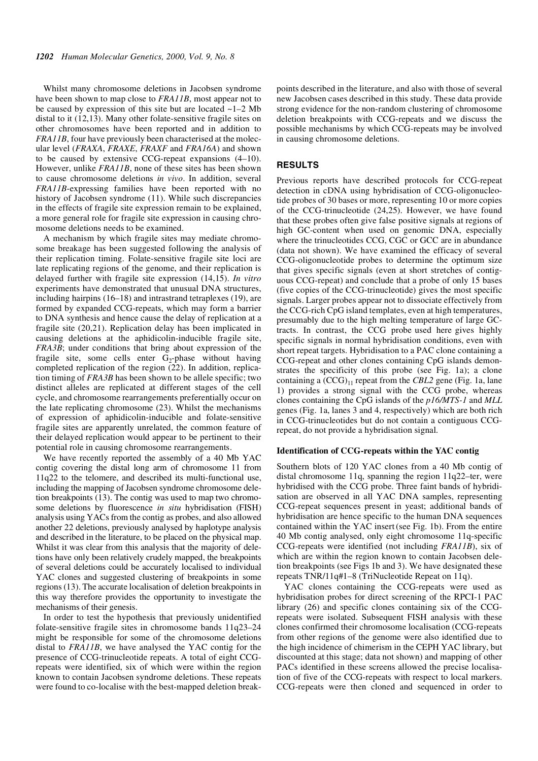Whilst many chromosome deletions in Jacobsen syndrome have been shown to map close to *FRA11B*, most appear not to be caused by expression of this site but are located  $\sim$ 1–2 Mb distal to it (12,13). Many other folate-sensitive fragile sites on other chromosomes have been reported and in addition to *FRA11B*, four have previously been characterised at the molecular level (*FRAXA*, *FRAXE*, *FRAXF* and *FRA16A*) and shown to be caused by extensive CCG-repeat expansions (4–10). However, unlike *FRA11B*, none of these sites has been shown to cause chromosome deletions *in vivo*. In addition, several *FRA11B*-expressing families have been reported with no history of Jacobsen syndrome (11). While such discrepancies in the effects of fragile site expression remain to be explained, a more general role for fragile site expression in causing chromosome deletions needs to be examined.

A mechanism by which fragile sites may mediate chromosome breakage has been suggested following the analysis of their replication timing. Folate-sensitive fragile site loci are late replicating regions of the genome, and their replication is delayed further with fragile site expression (14,15). *In vitro* experiments have demonstrated that unusual DNA structures, including hairpins (16–18) and intrastrand tetraplexes (19), are formed by expanded CCG-repeats, which may form a barrier to DNA synthesis and hence cause the delay of replication at a fragile site (20,21). Replication delay has been implicated in causing deletions at the aphidicolin-inducible fragile site, *FRA3B*; under conditions that bring about expression of the fragile site, some cells enter  $G_2$ -phase without having completed replication of the region (22). In addition, replication timing of *FRA3B* has been shown to be allele specific; two distinct alleles are replicated at different stages of the cell cycle, and chromosome rearrangements preferentially occur on the late replicating chromosome (23). Whilst the mechanisms of expression of aphidicolin-inducible and folate-sensitive fragile sites are apparently unrelated, the common feature of their delayed replication would appear to be pertinent to their potential role in causing chromosome rearrangements.

We have recently reported the assembly of a 40 Mb YAC contig covering the distal long arm of chromosome 11 from 11q22 to the telomere, and described its multi-functional use, including the mapping of Jacobsen syndrome chromosome deletion breakpoints (13). The contig was used to map two chromosome deletions by fluorescence *in situ* hybridisation (FISH) analysis using YACs from the contig as probes, and also allowed another 22 deletions, previously analysed by haplotype analysis and described in the literature, to be placed on the physical map. Whilst it was clear from this analysis that the majority of deletions have only been relatively crudely mapped, the breakpoints of several deletions could be accurately localised to individual YAC clones and suggested clustering of breakpoints in some regions (13). The accurate localisation of deletion breakpoints in this way therefore provides the opportunity to investigate the mechanisms of their genesis.

In order to test the hypothesis that previously unidentified folate-sensitive fragile sites in chromosome bands 11q23–24 might be responsible for some of the chromosome deletions distal to *FRA11B*, we have analysed the YAC contig for the presence of CCG-trinucleotide repeats. A total of eight CCGrepeats were identified, six of which were within the region known to contain Jacobsen syndrome deletions. These repeats were found to co-localise with the best-mapped deletion breakpoints described in the literature, and also with those of several new Jacobsen cases described in this study. These data provide strong evidence for the non-random clustering of chromosome deletion breakpoints with CCG-repeats and we discuss the possible mechanisms by which CCG-repeats may be involved in causing chromosome deletions.

# **RESULTS**

Previous reports have described protocols for CCG-repeat detection in cDNA using hybridisation of CCG-oligonucleotide probes of 30 bases or more, representing 10 or more copies of the CCG-trinucleotide (24,25). However, we have found that these probes often give false positive signals at regions of high GC-content when used on genomic DNA, especially where the trinucleotides CCG, CGC or GCC are in abundance (data not shown). We have examined the efficacy of several CCG-oligonucleotide probes to determine the optimum size that gives specific signals (even at short stretches of contiguous CCG-repeat) and conclude that a probe of only 15 bases (five copies of the CCG-trinucleotide) gives the most specific signals. Larger probes appear not to dissociate effectively from the CCG-rich CpG island templates, even at high temperatures, presumably due to the high melting temperature of large GCtracts. In contrast, the CCG probe used here gives highly specific signals in normal hybridisation conditions, even with short repeat targets. Hybridisation to a PAC clone containing a CCG-repeat and other clones containing CpG islands demonstrates the specificity of this probe (see Fig. 1a); a clone containing a  $(\text{CCG})_{11}$  repeat from the *CBL2* gene (Fig. 1a, lane 1) provides a strong signal with the CCG probe, whereas clones containing the CpG islands of the *p16/MTS-1* and *MLL* genes (Fig. 1a, lanes 3 and 4, respectively) which are both rich in CCG-trinucleotides but do not contain a contiguous CCGrepeat, do not provide a hybridisation signal.

#### **Identification of CCG-repeats within the YAC contig**

Southern blots of 120 YAC clones from a 40 Mb contig of distal chromosome 11q, spanning the region 11q22–ter, were hybridised with the CCG probe. Three faint bands of hybridisation are observed in all YAC DNA samples, representing CCG-repeat sequences present in yeast; additional bands of hybridisation are hence specific to the human DNA sequences contained within the YAC insert (see Fig. 1b). From the entire 40 Mb contig analysed, only eight chromosome 11q-specific CCG-repeats were identified (not including *FRA11B*), six of which are within the region known to contain Jacobsen deletion breakpoints (see Figs 1b and 3). We have designated these repeats TNR/11q#1–8 (TriNucleotide Repeat on 11q).

YAC clones containing the CCG-repeats were used as hybridisation probes for direct screening of the RPCI-1 PAC library (26) and specific clones containing six of the CCGrepeats were isolated. Subsequent FISH analysis with these clones confirmed their chromosome localisation (CCG-repeats from other regions of the genome were also identified due to the high incidence of chimerism in the CEPH YAC library, but discounted at this stage; data not shown) and mapping of other PACs identified in these screens allowed the precise localisation of five of the CCG-repeats with respect to local markers. CCG-repeats were then cloned and sequenced in order to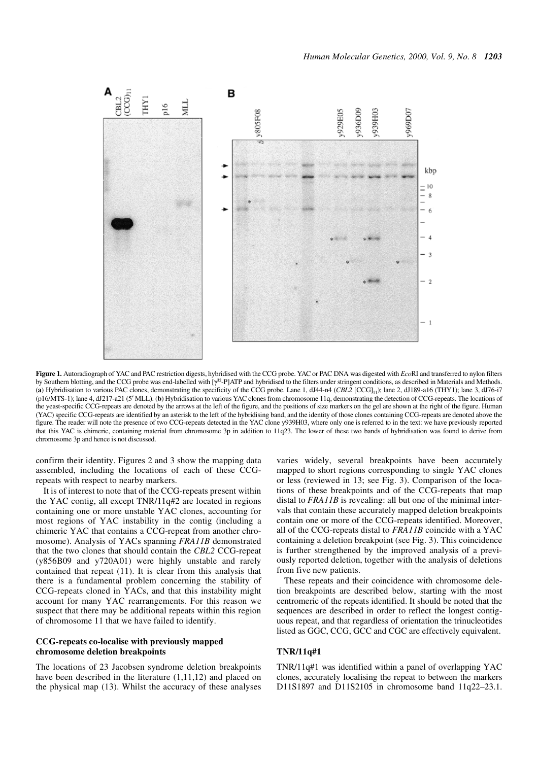

**Figure 1.** Autoradiograph of YAC and PAC restriction digests, hybridised with the CCG probe. YAC or PAC DNA was digested with *Eco*RI and transferred to nylon filters by Southern blotting, and the CCG probe was end-labelled with [γ32-P]ATP and hybridised to the filters under stringent conditions, as described in Materials and Methods. (a) Hybridisation to various PAC clones, demonstrating the specificity of the CCG probe. Lane 1, dJ44-n4 (CBL2 [CCG]<sub>11</sub>); lane 2, dJ189-a16 (THY1); lane 3, dJ76-i7 (p16/MTS-1); lane 4, dJ217-a21 (5′ MLL). (**b**) Hybridisation to various YAC clones from chromosome 11q, demonstrating the detection of CCG-repeats. The locations of the yeast-specific CCG-repeats are denoted by the arrows at the left of the figure, and the positions of size markers on the gel are shown at the right of the figure. Human (YAC) specific CCG-repeats are identified by an asterisk to the left of the hybridising band, and the identity of those clones containing CCG-repeats are denoted above the figure. The reader will note the presence of two CCG-repeats detected in the YAC clone y939H03, where only one is referred to in the text: we have previously reported that this YAC is chimeric, containing material from chromosome 3p in addition to 11q23. The lower of these two bands of hybridisation was found to derive from chromosome 3p and hence is not discussed.

confirm their identity. Figures 2 and 3 show the mapping data assembled, including the locations of each of these CCGrepeats with respect to nearby markers.

It is of interest to note that of the CCG-repeats present within the YAC contig, all except TNR/11q#2 are located in regions containing one or more unstable YAC clones, accounting for most regions of YAC instability in the contig (including a chimeric YAC that contains a CCG-repeat from another chromosome). Analysis of YACs spanning *FRA11B* demonstrated that the two clones that should contain the *CBL2* CCG-repeat (y856B09 and y720A01) were highly unstable and rarely contained that repeat (11). It is clear from this analysis that there is a fundamental problem concerning the stability of CCG-repeats cloned in YACs, and that this instability might account for many YAC rearrangements. For this reason we suspect that there may be additional repeats within this region of chromosome 11 that we have failed to identify.

### **CCG-repeats co-localise with previously mapped chromosome deletion breakpoints**

The locations of 23 Jacobsen syndrome deletion breakpoints have been described in the literature (1,11,12) and placed on the physical map (13). Whilst the accuracy of these analyses varies widely, several breakpoints have been accurately mapped to short regions corresponding to single YAC clones or less (reviewed in 13; see Fig. 3). Comparison of the locations of these breakpoints and of the CCG-repeats that map distal to *FRA11B* is revealing: all but one of the minimal intervals that contain these accurately mapped deletion breakpoints contain one or more of the CCG-repeats identified. Moreover, all of the CCG-repeats distal to *FRA11B* coincide with a YAC containing a deletion breakpoint (see Fig. 3). This coincidence is further strengthened by the improved analysis of a previously reported deletion, together with the analysis of deletions from five new patients.

These repeats and their coincidence with chromosome deletion breakpoints are described below, starting with the most centromeric of the repeats identified. It should be noted that the sequences are described in order to reflect the longest contiguous repeat, and that regardless of orientation the trinucleotides listed as GGC, CCG, GCC and CGC are effectively equivalent.

#### **TNR/11q#1**

TNR/11q#1 was identified within a panel of overlapping YAC clones, accurately localising the repeat to between the markers D11S1897 and D11S2105 in chromosome band 11q22–23.1.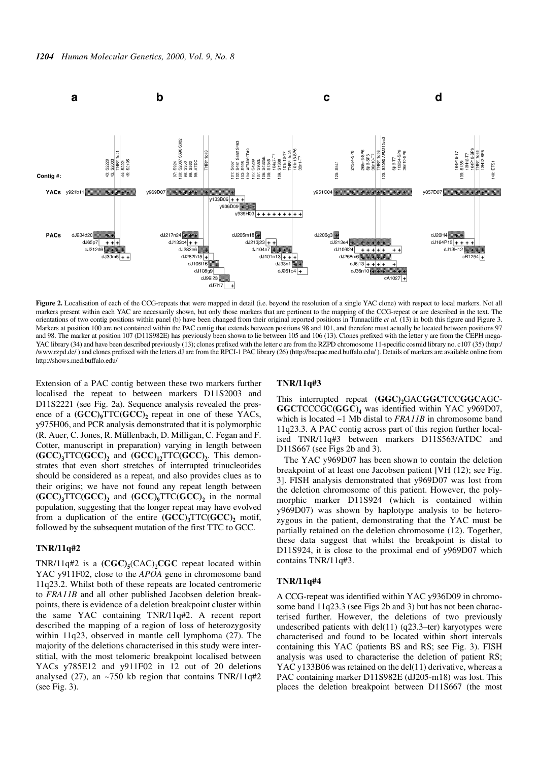

Figure 2. Localisation of each of the CCG-repeats that were mapped in detail (i.e. beyond the resolution of a single YAC clone) with respect to local markers. Not all markers present within each YAC are necessarily shown, but only those markers that are pertinent to the mapping of the CCG-repeat or are described in the text. The orientations of two contig positions within panel (b) have been changed from their original reported positions in Tunnacliffe *et al.* (13) in both this figure and Figure 3. Markers at position 100 are not contained within the PAC contig that extends between positions 98 and 101, and therefore must actually be located between positions 97 and 98. The marker at position 107 (D11S982E) has previously been shown to lie between 105 and 106 (13). Clones prefixed with the letter y are from the CEPH mega-YAC library (34) and have been described previously (13); clones prefixed with the letter c are from the RZPD chromosome 11-specific cosmid library no. c107 (35) (http:/ /www.rzpd.de/ ) and clones prefixed with the letters dJ are from the RPCI-1 PAC library (26) (http://bacpac.med.buffalo.edu/ ). Details of markers are available online from http://shows.med.buffalo.edu/

Extension of a PAC contig between these two markers further localised the repeat to between markers D11S2003 and D11S2221 (see Fig. 2a). Sequence analysis revealed the presence of a  $(GCC)_{9}TTC(GCC)_{2}$  repeat in one of these YACs, y975H06, and PCR analysis demonstrated that it is polymorphic (R. Auer, C. Jones, R. Müllenbach, D. Milligan, C. Fegan and F. Cotter, manuscript in preparation) varying in length between  $(GCC)$ <sub>3</sub>TTC( $GCC$ )<sub>2</sub> and  $(GCC)$ <sub>12</sub>TTC( $GCC$ )<sub>2</sub>. This demonstrates that even short stretches of interrupted trinucleotides should be considered as a repeat, and also provides clues as to their origins; we have not found any repeat length between  $(GCC)$ <sub>3</sub>TTC( $GCC$ )<sub>2</sub> and  $(GCC)$ <sub>9</sub>TTC( $GCC$ )<sub>2</sub> in the normal population, suggesting that the longer repeat may have evolved from a duplication of the entire  $(GCC)$ <sub>3</sub>TTC $(GCC)$ <sub>2</sub> motif, followed by the subsequent mutation of the first TTC to GCC.

#### **TNR/11q#2**

TNR/11q#2 is a  $(\text{CGC})_5(\text{CAC})_2\text{CGC}$  repeat located within YAC y911F02, close to the *APOA* gene in chromosome band 11q23.2. Whilst both of these repeats are located centromeric to *FRA11B* and all other published Jacobsen deletion breakpoints, there is evidence of a deletion breakpoint cluster within the same YAC containing TNR/11q#2. A recent report described the mapping of a region of loss of heterozygosity within 11q23, observed in mantle cell lymphoma (27). The majority of the deletions characterised in this study were interstitial, with the most telomeric breakpoint localised between YACs y785E12 and y911F02 in 12 out of 20 deletions analysed (27), an  $\sim$ 750 kb region that contains TNR/11q#2 (see Fig. 3).

#### **TNR/11q#3**

This interrupted repeat (GGC)<sub>2</sub>GACGGCTCCGGCAGC-**GGC**TCCCGC**(GGC)4** was identified within YAC y969D07, which is located ~1 Mb distal to *FRA11B* in chromosome band 11q23.3. A PAC contig across part of this region further localised TNR/11q#3 between markers D11S563/ATDC and D11S667 (see Figs 2b and 3).

The YAC y969D07 has been shown to contain the deletion breakpoint of at least one Jacobsen patient [VH (12); see Fig. 3]. FISH analysis demonstrated that y969D07 was lost from the deletion chromosome of this patient. However, the polymorphic marker D11S924 (which is contained within y969D07) was shown by haplotype analysis to be heterozygous in the patient, demonstrating that the YAC must be partially retained on the deletion chromosome (12). Together, these data suggest that whilst the breakpoint is distal to D11S924, it is close to the proximal end of y969D07 which contains TNR/11q#3.

#### **TNR/11q#4**

A CCG-repeat was identified within YAC y936D09 in chromosome band 11q23.3 (see Figs 2b and 3) but has not been characterised further. However, the deletions of two previously undescribed patients with del $(11)$  (q23.3–ter) karyotypes were characterised and found to be located within short intervals containing this YAC (patients BS and RS; see Fig. 3). FISH analysis was used to characterise the deletion of patient RS; YAC y133B06 was retained on the del(11) derivative, whereas a PAC containing marker D11S982E (dJ205-m18) was lost. This places the deletion breakpoint between D11S667 (the most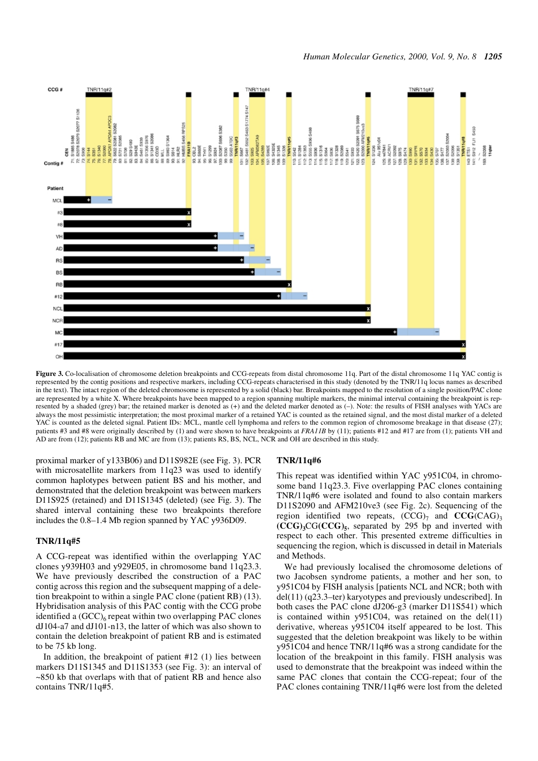

Figure 3. Co-localisation of chromosome deletion breakpoints and CCG-repeats from distal chromosome 11q. Part of the distal chromosome 11q YAC contig is represented by the contig positions and respective markers, including CCG-repeats characterised in this study (denoted by the TNR/11q locus names as described in the text). The intact region of the deleted chromosome is represented by a solid (black) bar. Breakpoints mapped to the resolution of a single position/PAC clone are represented by a white X. Where breakpoints have been mapped to a region spanning multiple markers, the minimal interval containing the breakpoint is represented by a shaded (grey) bar; the retained marker is denoted as (+) and the deleted marker denoted as (–). Note: the results of FISH analyses with YACs are always the most pessimistic interpretation; the most proximal marker of a retained YAC is counted as the retained signal, and the most distal marker of a deleted YAC is counted as the deleted signal. Patient IDs: MCL, mantle cell lymphoma and refers to the common region of chromosome breakage in that disease (27); patients #3 and #8 were originally described by (1) and were shown to have breakpoints at *FRA11B* by (11); patients #12 and #17 are from (1); patients VH and AD are from (12); patients RB and MC are from (13); patients RS, BS, NCL, NCR and OH are described in this study.

proximal marker of y133B06) and D11S982E (see Fig. 3). PCR with microsatellite markers from 11q23 was used to identify common haplotypes between patient BS and his mother, and demonstrated that the deletion breakpoint was between markers D11S925 (retained) and D11S1345 (deleted) (see Fig. 3). The shared interval containing these two breakpoints therefore includes the 0.8–1.4 Mb region spanned by YAC y936D09.

#### **TNR/11q#5**

A CCG-repeat was identified within the overlapping YAC clones y939H03 and y929E05, in chromosome band 11q23.3. We have previously described the construction of a PAC contig across this region and the subsequent mapping of a deletion breakpoint to within a single PAC clone (patient RB) (13). Hybridisation analysis of this PAC contig with the CCG probe identified a  $(GCC)_{6}$  repeat within two overlapping PAC clones dJ104-a7 and dJ101-n13, the latter of which was also shown to contain the deletion breakpoint of patient RB and is estimated to be 75 kb long.

In addition, the breakpoint of patient #12 (1) lies between markers D11S1345 and D11S1353 (see Fig. 3): an interval of ~850 kb that overlaps with that of patient RB and hence also contains TNR/11q#5.

#### **TNR/11q#6**

This repeat was identified within YAC y951C04, in chromosome band 11q23.3. Five overlapping PAC clones containing TNR/11q#6 were isolated and found to also contain markers D11S2090 and AFM210ve3 (see Fig. 2c). Sequencing of the region identified two repeats,  $(CCG)<sub>7</sub>$  and  $CCG(CAG)<sub>3</sub>$ **(CCG)3**CG**(CCG)5**, separated by 295 bp and inverted with respect to each other. This presented extreme difficulties in sequencing the region, which is discussed in detail in Materials and Methods.

We had previously localised the chromosome deletions of two Jacobsen syndrome patients, a mother and her son, to y951C04 by FISH analysis [patients NCL and NCR; both with del(11) (q23.3–ter) karyotypes and previously undescribed]. In both cases the PAC clone dJ206-g3 (marker D11S541) which is contained within  $y951C04$ , was retained on the del(11) derivative, whereas y951C04 itself appeared to be lost. This suggested that the deletion breakpoint was likely to be within y951C04 and hence TNR/11q#6 was a strong candidate for the location of the breakpoint in this family. FISH analysis was used to demonstrate that the breakpoint was indeed within the same PAC clones that contain the CCG-repeat; four of the PAC clones containing TNR/11q#6 were lost from the deleted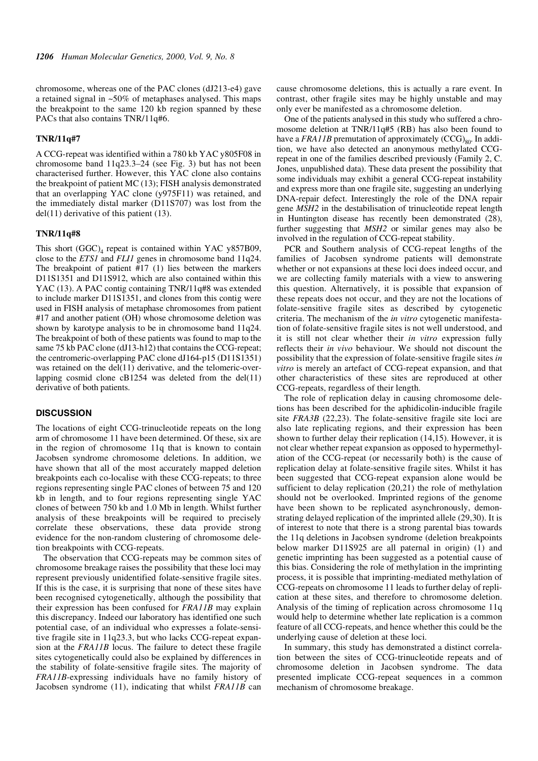chromosome, whereas one of the PAC clones (dJ213-e4) gave a retained signal in ~50% of metaphases analysed. This maps the breakpoint to the same 120 kb region spanned by these PACs that also contains TNR/11q#6.

#### **TNR/11q#7**

A CCG-repeat was identified within a 780 kb YAC y805F08 in chromosome band 11q23.3–24 (see Fig. 3) but has not been characterised further. However, this YAC clone also contains the breakpoint of patient MC (13); FISH analysis demonstrated that an overlapping YAC clone (y975F11) was retained, and the immediately distal marker (D11S707) was lost from the del(11) derivative of this patient (13).

#### **TNR/11q#8**

This short  $(GGC)_{4}$  repeat is contained within YAC y857B09, close to the *ETS1* and *FLI1* genes in chromosome band 11q24. The breakpoint of patient #17 (1) lies between the markers D11S1351 and D11S912, which are also contained within this YAC (13). A PAC contig containing TNR/11q#8 was extended to include marker D11S1351, and clones from this contig were used in FISH analysis of metaphase chromosomes from patient #17 and another patient (OH) whose chromosome deletion was shown by karotype analysis to be in chromosome band 11q24. The breakpoint of both of these patients was found to map to the same 75 kb PAC clone (dJ13-h12) that contains the CCG-repeat; the centromeric-overlapping PAC clone dJ164-p15 (D11S1351) was retained on the del(11) derivative, and the telomeric-overlapping cosmid clone  $cB1254$  was deleted from the del(11) derivative of both patients.

#### **DISCUSSION**

The locations of eight CCG-trinucleotide repeats on the long arm of chromosome 11 have been determined. Of these, six are in the region of chromosome 11q that is known to contain Jacobsen syndrome chromosome deletions. In addition, we have shown that all of the most accurately mapped deletion breakpoints each co-localise with these CCG-repeats; to three regions representing single PAC clones of between 75 and 120 kb in length, and to four regions representing single YAC clones of between 750 kb and 1.0 Mb in length. Whilst further analysis of these breakpoints will be required to precisely correlate these observations, these data provide strong evidence for the non-random clustering of chromosome deletion breakpoints with CCG-repeats.

The observation that CCG-repeats may be common sites of chromosome breakage raises the possibility that these loci may represent previously unidentified folate-sensitive fragile sites. If this is the case, it is surprising that none of these sites have been recognised cytogenetically, although the possibility that their expression has been confused for *FRA11B* may explain this discrepancy. Indeed our laboratory has identified one such potential case, of an individual who expresses a folate-sensitive fragile site in 11q23.3, but who lacks CCG-repeat expansion at the *FRA11B* locus. The failure to detect these fragile sites cytogenetically could also be explained by differences in the stability of folate-sensitive fragile sites. The majority of *FRA11B*-expressing individuals have no family history of Jacobsen syndrome (11), indicating that whilst *FRA11B* can

cause chromosome deletions, this is actually a rare event. In contrast, other fragile sites may be highly unstable and may only ever be manifested as a chromosome deletion.

One of the patients analysed in this study who suffered a chromosome deletion at TNR/11q#5 (RB) has also been found to have a  $FRA11B$  premutation of approximately  $(CCG)_{80}$ . In addition, we have also detected an anonymous methylated CCGrepeat in one of the families described previously (Family 2, C. Jones, unpublished data). These data present the possibility that some individuals may exhibit a general CCG-repeat instability and express more than one fragile site, suggesting an underlying DNA-repair defect. Interestingly the role of the DNA repair gene *MSH2* in the destabilisation of trinucleotide repeat length in Huntington disease has recently been demonstrated (28), further suggesting that *MSH2* or similar genes may also be involved in the regulation of CCG-repeat stability.

PCR and Southern analysis of CCG-repeat lengths of the families of Jacobsen syndrome patients will demonstrate whether or not expansions at these loci does indeed occur, and we are collecting family materials with a view to answering this question. Alternatively, it is possible that expansion of these repeats does not occur, and they are not the locations of folate-sensitive fragile sites as described by cytogenetic criteria. The mechanism of the *in vitro* cytogenetic manifestation of folate-sensitive fragile sites is not well understood, and it is still not clear whether their *in vitro* expression fully reflects their *in vivo* behaviour. We should not discount the possibility that the expression of folate-sensitive fragile sites *in vitro* is merely an artefact of CCG-repeat expansion, and that other characteristics of these sites are reproduced at other CCG-repeats, regardless of their length.

The role of replication delay in causing chromosome deletions has been described for the aphidicolin-inducible fragile site *FRA3B* (22,23). The folate-sensitive fragile site loci are also late replicating regions, and their expression has been shown to further delay their replication (14,15). However, it is not clear whether repeat expansion as opposed to hypermethylation of the CCG-repeat (or necessarily both) is the cause of replication delay at folate-sensitive fragile sites. Whilst it has been suggested that CCG-repeat expansion alone would be sufficient to delay replication (20,21) the role of methylation should not be overlooked. Imprinted regions of the genome have been shown to be replicated asynchronously, demonstrating delayed replication of the imprinted allele (29,30). It is of interest to note that there is a strong parental bias towards the 11q deletions in Jacobsen syndrome (deletion breakpoints below marker D11S925 are all paternal in origin) (1) and genetic imprinting has been suggested as a potential cause of this bias. Considering the role of methylation in the imprinting process, it is possible that imprinting-mediated methylation of CCG-repeats on chromosome 11 leads to further delay of replication at these sites, and therefore to chromosome deletion. Analysis of the timing of replication across chromosome 11q would help to determine whether late replication is a common feature of all CCG-repeats, and hence whether this could be the underlying cause of deletion at these loci.

In summary, this study has demonstrated a distinct correlation between the sites of CCG-trinucleotide repeats and of chromosome deletion in Jacobsen syndrome. The data presented implicate CCG-repeat sequences in a common mechanism of chromosome breakage.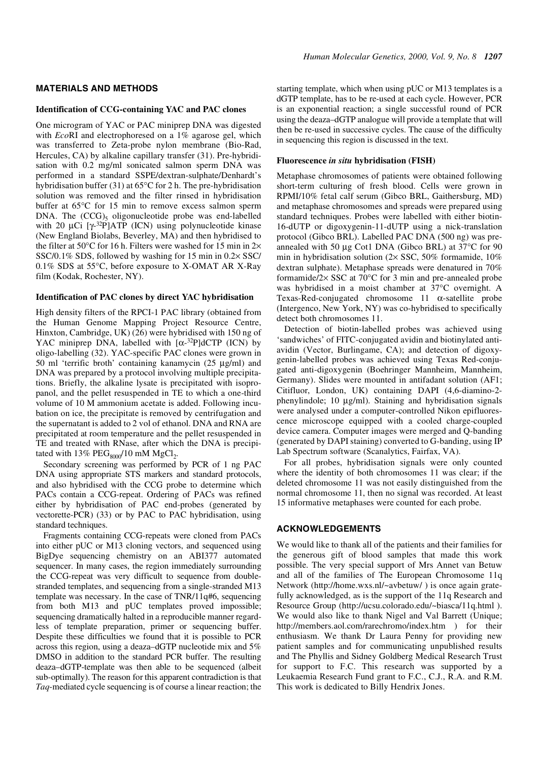#### **MATERIALS AND METHODS**

#### **Identification of CCG-containing YAC and PAC clones**

One microgram of YAC or PAC miniprep DNA was digested with *Eco*RI and electrophoresed on a 1% agarose gel, which was transferred to Zeta-probe nylon membrane (Bio-Rad, Hercules, CA) by alkaline capillary transfer (31). Pre-hybridisation with 0.2 mg/ml sonicated salmon sperm DNA was performed in a standard SSPE/dextran-sulphate/Denhardt's hybridisation buffer (31) at 65°C for 2 h. The pre-hybridisation solution was removed and the filter rinsed in hybridisation buffer at 65°C for 15 min to remove excess salmon sperm DNA. The  $(CCG)$ <sub>5</sub> oligonucleotide probe was end-labelled with 20  $\mu$ Ci [ $\gamma$ -<sup>32</sup>P]ATP (ICN) using polynucleotide kinase (New England Biolabs, Beverley, MA) and then hybridised to the filter at 50 $\degree$ C for 16 h. Filters were washed for 15 min in 2 $\times$ SSC/0.1% SDS, followed by washing for 15 min in 0.2× SSC/ 0.1% SDS at 55°C, before exposure to X-OMAT AR X-Ray film (Kodak, Rochester, NY).

#### **Identification of PAC clones by direct YAC hybridisation**

High density filters of the RPCI-1 PAC library (obtained from the Human Genome Mapping Project Resource Centre, Hinxton, Cambridge, UK) (26) were hybridised with 150 ng of YAC miniprep DNA, labelled with  $\lceil \alpha^{-32}P \rceil dCTP$  (ICN) by oligo-labelling (32). YAC-specific PAC clones were grown in 50 ml 'terrific broth' containing kanamycin (25 µg/ml) and DNA was prepared by a protocol involving multiple precipitations. Briefly, the alkaline lysate is precipitated with isopropanol, and the pellet resuspended in TE to which a one-third volume of 10 M ammonium acetate is added. Following incubation on ice, the precipitate is removed by centrifugation and the supernatant is added to 2 vol of ethanol. DNA and RNA are precipitated at room temperature and the pellet resuspended in TE and treated with RNase, after which the DNA is precipitated with  $13\%$  PEG<sub>8000</sub>/10 mM MgCl<sub>2</sub>.

Secondary screening was performed by PCR of 1 ng PAC DNA using appropriate STS markers and standard protocols, and also hybridised with the CCG probe to determine which PACs contain a CCG-repeat. Ordering of PACs was refined either by hybridisation of PAC end-probes (generated by vectorette-PCR) (33) or by PAC to PAC hybridisation, using standard techniques.

Fragments containing CCG-repeats were cloned from PACs into either pUC or M13 cloning vectors, and sequenced using BigDye sequencing chemistry on an ABI377 automated sequencer. In many cases, the region immediately surrounding the CCG-repeat was very difficult to sequence from doublestranded templates, and sequencing from a single-stranded M13 template was necessary. In the case of TNR/11q#6, sequencing from both M13 and pUC templates proved impossible; sequencing dramatically halted in a reproducible manner regardless of template preparation, primer or sequencing buffer. Despite these difficulties we found that it is possible to PCR across this region, using a deaza–dGTP nucleotide mix and 5% DMSO in addition to the standard PCR buffer. The resulting deaza–dGTP-template was then able to be sequenced (albeit sub-optimally). The reason for this apparent contradiction is that *Taq*-mediated cycle sequencing is of course a linear reaction; the starting template, which when using pUC or M13 templates is a dGTP template, has to be re-used at each cycle. However, PCR is an exponential reaction; a single successful round of PCR using the deaza–dGTP analogue will provide a template that will then be re-used in successive cycles. The cause of the difficulty in sequencing this region is discussed in the text.

#### **Fluorescence** *in situ* **hybridisation (FISH)**

Metaphase chromosomes of patients were obtained following short-term culturing of fresh blood. Cells were grown in RPMI/10% fetal calf serum (Gibco BRL, Gaithersburg, MD) and metaphase chromosomes and spreads were prepared using standard techniques. Probes were labelled with either biotin-16-dUTP or digoxygenin-11-dUTP using a nick-translation protocol (Gibco BRL). Labelled PAC DNA (500 ng) was preannealed with 50 µg Cot1 DNA (Gibco BRL) at 37°C for 90 min in hybridisation solution (2× SSC, 50% formamide, 10% dextran sulphate). Metaphase spreads were denatured in 70% formamide/2× SSC at 70°C for 3 min and pre-annealed probe was hybridised in a moist chamber at 37°C overnight. A Texas-Red-conjugated chromosome 11 α-satellite probe (Intergenco, New York, NY) was co-hybridised to specifically detect both chromosomes 11.

Detection of biotin-labelled probes was achieved using 'sandwiches' of FITC-conjugated avidin and biotinylated antiavidin (Vector, Burlingame, CA); and detection of digoxygenin-labelled probes was achieved using Texas Red-conjugated anti-digoxygenin (Boehringer Mannheim, Mannheim, Germany). Slides were mounted in antifadant solution (AF1; Citifluor, London, UK) containing DAPI (4,6-diamino-2 phenylindole; 10 µg/ml). Staining and hybridisation signals were analysed under a computer-controlled Nikon epifluorescence microscope equipped with a cooled charge-coupled device camera. Computer images were merged and Q-banding (generated by DAPI staining) converted to G-banding, using IP Lab Spectrum software (Scanalytics, Fairfax, VA).

For all probes, hybridisation signals were only counted where the identity of both chromosomes 11 was clear; if the deleted chromosome 11 was not easily distinguished from the normal chromosome 11, then no signal was recorded. At least 15 informative metaphases were counted for each probe.

# **ACKNOWLEDGEMENTS**

We would like to thank all of the patients and their families for the generous gift of blood samples that made this work possible. The very special support of Mrs Annet van Betuw and all of the families of The European Chromosome 11q Network (http://home.wxs.nl/~avbetuw/ ) is once again gratefully acknowledged, as is the support of the 11q Research and Resource Group (http://ucsu.colorado.edu/~biasca/11q.html ). We would also like to thank Nigel and Val Barrett (Unique; http://members.aol.com/rarechromo/index.htm ) for their enthusiasm. We thank Dr Laura Penny for providing new patient samples and for communicating unpublished results and The Phyllis and Sidney Goldberg Medical Research Trust for support to F.C. This research was supported by a Leukaemia Research Fund grant to F.C., C.J., R.A. and R.M. This work is dedicated to Billy Hendrix Jones.